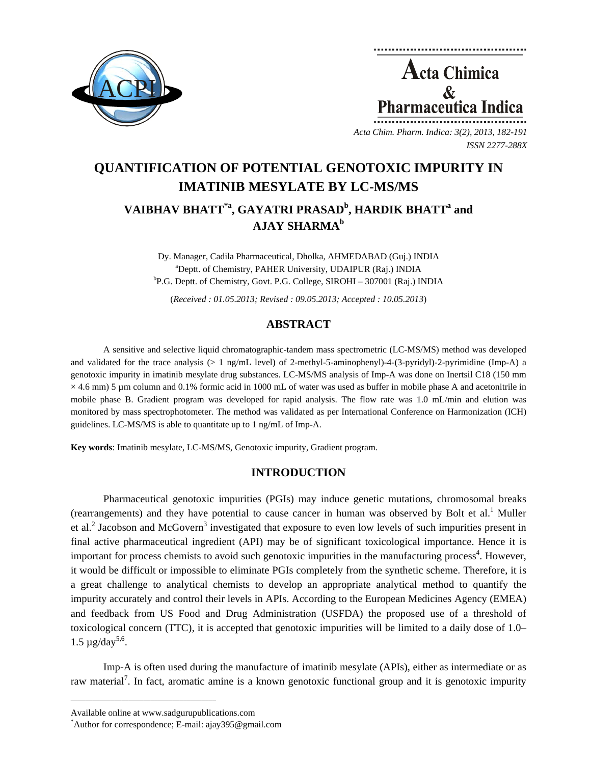

**Acta Chimica**  $\mathcal{R}_{\mathcal{L}}$ Pharmaceutica Indica

*Acta Chim. Pharm. Indica: 3(2), 2013, 182-191 ISSN 2277-288X*

# **QUANTIFICATION OF POTENTIAL GENOTOXIC IMPURITY IN IMATINIB MESYLATE BY LC-MS/MS**

## $V$ AIBHAV BHATT<sup>\*a</sup>, GAYATRI PRASAD<sup>b</sup>, HARDIK BHATT<sup>a</sup> and **AJAY SHARMAb**

Dy. Manager, Cadila Pharmaceutical, Dholka, AHMEDABAD (Guj.) INDIA <sup>a</sup>Deptt. of Chemistry, PAHER University, UDAIPUR (Raj.) INDIA <sup>b</sup>P.G. Deptt. of Chemistry, Govt. P.G. College, SIROHI – 307001 (Raj.) INDIA

(*Received : 01.05.2013; Revised : 09.05.2013; Accepted : 10.05.2013*)

## **ABSTRACT**

A sensitive and selective liquid chromatographic-tandem mass spectrometric (LC-MS/MS) method was developed and validated for the trace analysis (> 1 ng/mL level) of 2-methyl-5-aminophenyl)-4-(3-pyridyl)-2-pyrimidine (Imp**-**A) a genotoxic impurity in imatinib mesylate drug substances. LC-MS/MS analysis of Imp**-**A was done on Inertsil C18 (150 mm  $\times$  4.6 mm) 5 µm column and 0.1% formic acid in 1000 mL of water was used as buffer in mobile phase A and acetonitrile in mobile phase B. Gradient program was developed for rapid analysis. The flow rate was 1.0 mL/min and elution was monitored by mass spectrophotometer. The method was validated as per International Conference on Harmonization (ICH) guidelines. LC-MS/MS is able to quantitate up to 1 ng/mL of Imp**-**A.

**Key words**: Imatinib mesylate, LC-MS/MS, Genotoxic impurity, Gradient program.

## **INTRODUCTION**

Pharmaceutical genotoxic impurities (PGIs) may induce genetic mutations, chromosomal breaks (rearrangements) and they have potential to cause cancer in human was observed by Bolt et al.<sup>1</sup> Muller et al.<sup>2</sup> Jacobson and McGovern<sup>3</sup> investigated that exposure to even low levels of such impurities present in final active pharmaceutical ingredient (API) may be of significant toxicological importance. Hence it is important for process chemists to avoid such genotoxic impurities in the manufacturing process<sup>4</sup>. However, it would be difficult or impossible to eliminate PGIs completely from the synthetic scheme. Therefore, it is a great challenge to analytical chemists to develop an appropriate analytical method to quantify the impurity accurately and control their levels in APIs. According to the European Medicines Agency (EMEA) and feedback from US Food and Drug Administration (USFDA) the proposed use of a threshold of toxicological concern (TTC), it is accepted that genotoxic impurities will be limited to a daily dose of 1.0–  $1.5 \mu$ g/day<sup>5,6</sup>.

Imp-A is often used during the manufacture of imatinib mesylate (APIs), either as intermediate or as raw material<sup>7</sup>. In fact, aromatic amine is a known genotoxic functional group and it is genotoxic impurity

**\_\_\_\_\_\_\_\_\_\_\_\_\_\_\_\_\_\_\_\_\_\_\_\_\_\_\_\_\_\_\_\_\_\_\_\_\_\_\_\_**

Available online at www.sadgurupublications.com \*

Author for correspondence; E-mail: ajay395@gmail.com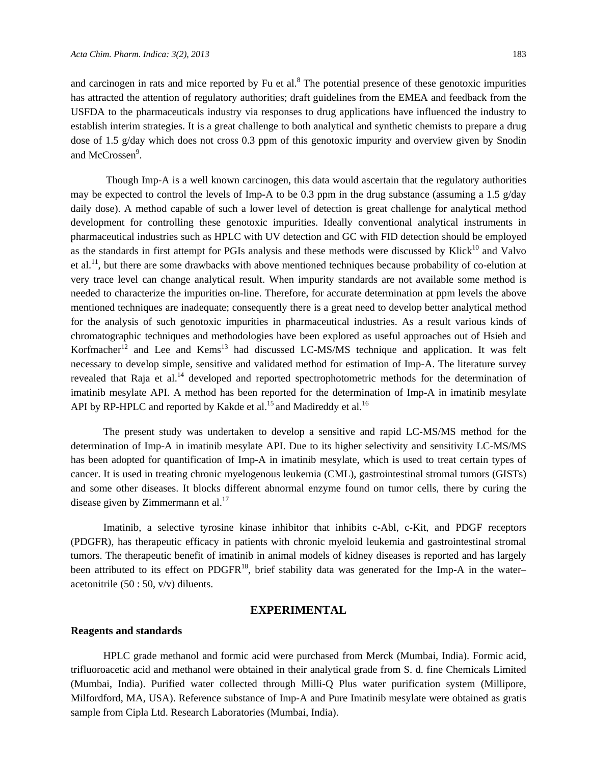and carcinogen in rats and mice reported by Fu et al.<sup>8</sup> The potential presence of these genotoxic impurities has attracted the attention of regulatory authorities; draft guidelines from the EMEA and feedback from the USFDA to the pharmaceuticals industry via responses to drug applications have influenced the industry to establish interim strategies. It is a great challenge to both analytical and synthetic chemists to prepare a drug dose of 1.5 g/day which does not cross 0.3 ppm of this genotoxic impurity and overview given by Snodin and McCrossen<sup>9</sup>.

 Though Imp-A is a well known carcinogen, this data would ascertain that the regulatory authorities may be expected to control the levels of Imp-A to be 0.3 ppm in the drug substance (assuming a 1.5  $g$ /day daily dose). A method capable of such a lower level of detection is great challenge for analytical method development for controlling these genotoxic impurities. Ideally conventional analytical instruments in pharmaceutical industries such as HPLC with UV detection and GC with FID detection should be employed as the standards in first attempt for PGIs analysis and these methods were discussed by Klick<sup>10</sup> and Valvo et al.11, but there are some drawbacks with above mentioned techniques because probability of co-elution at very trace level can change analytical result. When impurity standards are not available some method is needed to characterize the impurities on-line. Therefore, for accurate determination at ppm levels the above mentioned techniques are inadequate; consequently there is a great need to develop better analytical method for the analysis of such genotoxic impurities in pharmaceutical industries. As a result various kinds of chromatographic techniques and methodologies have been explored as useful approaches out of Hsieh and Korfmacher<sup>12</sup> and Lee and Kems<sup>13</sup> had discussed LC-MS/MS technique and application. It was felt necessary to develop simple, sensitive and validated method for estimation of Imp-A. The literature survey revealed that Raja et al.<sup>14</sup> developed and reported spectrophotometric methods for the determination of imatinib mesylate API. A method has been reported for the determination of Imp-A in imatinib mesylate API by RP-HPLC and reported by Kakde et al.<sup>15</sup> and Madireddy et al.<sup>16</sup>

The present study was undertaken to develop a sensitive and rapid LC-MS/MS method for the determination of Imp-A in imatinib mesylate API. Due to its higher selectivity and sensitivity LC-MS/MS has been adopted for quantification of Imp-A in imatinib mesylate, which is used to treat certain types of cancer. It is used in treating chronic myelogenous leukemia (CML), gastrointestinal stromal tumors (GISTs) and some other diseases. It blocks different abnormal enzyme found on tumor cells, there by curing the disease given by Zimmermann et al. $^{17}$ 

Imatinib, a selective tyrosine kinase inhibitor that inhibits c-Abl, c-Kit, and PDGF receptors (PDGFR), has therapeutic efficacy in patients with chronic myeloid leukemia and gastrointestinal stromal tumors. The therapeutic benefit of imatinib in animal models of kidney diseases is reported and has largely been attributed to its effect on PDGFR<sup>18</sup>, brief stability data was generated for the Imp-A in the water– acetonitrile  $(50:50, v/v)$  diluents.

## **EXPERIMENTAL**

#### **Reagents and standards**

HPLC grade methanol and formic acid were purchased from Merck (Mumbai, India). Formic acid, trifluoroacetic acid and methanol were obtained in their analytical grade from S. d. fine Chemicals Limited (Mumbai, India). Purified water collected through Milli-Q Plus water purification system (Millipore, Milfordford, MA, USA). Reference substance of Imp**-**A and Pure Imatinib mesylate were obtained as gratis sample from Cipla Ltd. Research Laboratories (Mumbai, India).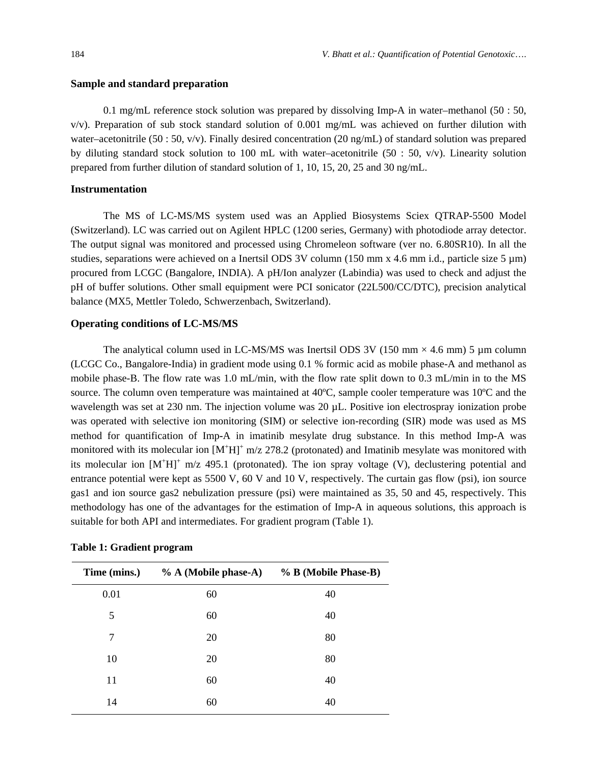#### **Sample and standard preparation**

0.1 mg/mL reference stock solution was prepared by dissolving Imp**-**A in water–methanol (50 : 50,  $v/v$ ). Preparation of sub stock standard solution of 0.001 mg/mL was achieved on further dilution with water–acetonitrile (50 : 50, v/v). Finally desired concentration (20 ng/mL) of standard solution was prepared by diluting standard stock solution to 100 mL with water–acetonitrile (50 : 50,  $v/v$ ). Linearity solution prepared from further dilution of standard solution of 1, 10, 15, 20, 25 and 30 ng/mL.

#### **Instrumentation**

The MS of LC-MS/MS system used was an Applied Biosystems Sciex QTRAP-5500 Model (Switzerland). LC was carried out on Agilent HPLC (1200 series, Germany) with photodiode array detector. The output signal was monitored and processed using Chromeleon software (ver no. 6.80SR10). In all the studies, separations were achieved on a Inertsil ODS 3V column (150 mm x 4.6 mm i.d., particle size 5  $\mu$ m) procured from LCGC (Bangalore, INDIA). A pH/Ion analyzer (Labindia) was used to check and adjust the pH of buffer solutions. Other small equipment were PCI sonicator (22L500/CC/DTC), precision analytical balance (MX5, Mettler Toledo, Schwerzenbach, Switzerland).

#### **Operating conditions of LC-MS/MS**

The analytical column used in LC-MS/MS was Inertsil ODS 3V (150 mm  $\times$  4.6 mm) 5 µm column (LCGC Co., Bangalore-India) in gradient mode using 0.1 % formic acid as mobile phase-A and methanol as mobile phase-B. The flow rate was 1.0 mL/min, with the flow rate split down to 0.3 mL/min in to the MS source. The column oven temperature was maintained at 40°C, sample cooler temperature was 10°C and the wavelength was set at 230 nm. The injection volume was 20 µL. Positive ion electrospray ionization probe was operated with selective ion monitoring (SIM) or selective ion-recording (SIR) mode was used as MS method for quantification of Imp**-**A in imatinib mesylate drug substance. In this method Imp**-**A was monitored with its molecular ion  $[M^+H]^+$  m/z 278.2 (protonated) and Imatinib mesylate was monitored with its molecular ion  $[M^+H]^+$  m/z 495.1 (protonated). The ion spray voltage (V), declustering potential and entrance potential were kept as 5500 V, 60 V and 10 V, respectively. The curtain gas flow (psi), ion source gas1 and ion source gas2 nebulization pressure (psi) were maintained as 35, 50 and 45, respectively. This methodology has one of the advantages for the estimation of Imp**-**A in aqueous solutions, this approach is suitable for both API and intermediates. For gradient program (Table 1).

| Time (mins.) | % A (Mobile phase-A) % B (Mobile Phase-B) |    |
|--------------|-------------------------------------------|----|
| 0.01         | 60                                        | 40 |
| 5            | 60                                        | 40 |
| 7            | 20                                        | 80 |
| 10           | 20                                        | 80 |
| 11           | 60                                        | 40 |
| 14           | 60                                        | 40 |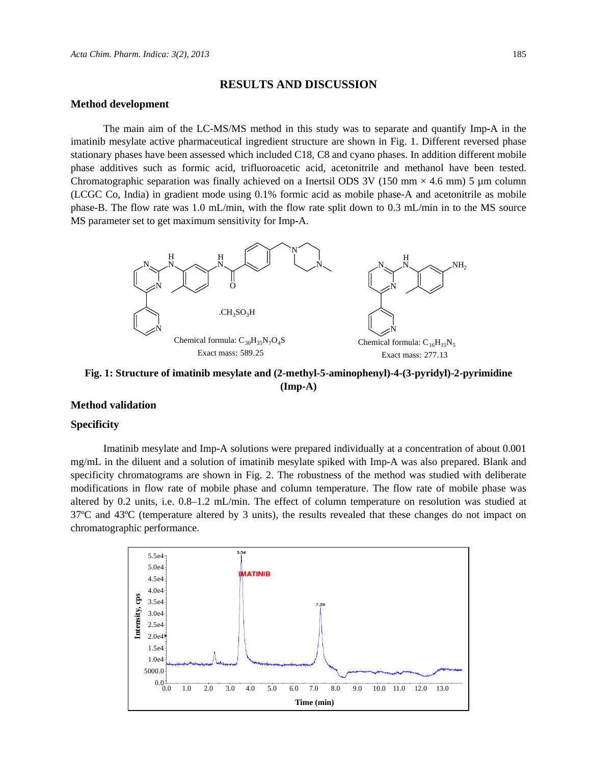#### **RESULTS AND DISCUSSION**

#### **Method development**

The main aim of the LC-MS/MS method in this study was to separate and quantify Imp**-**A in the imatinib mesylate active pharmaceutical ingredient structure are shown in Fig. 1. Different reversed phase stationary phases have been assessed which included C18, C8 and cyano phases. In addition different mobile phase additives such as formic acid, trifluoroacetic acid, acetonitrile and methanol have been tested. Chromatographic separation was finally achieved on a Inertsil ODS 3V (150 mm  $\times$  4.6 mm) 5 µm column (LCGC Co, India) in gradient mode using 0.1% formic acid as mobile phase-A and acetonitrile as mobile phase-B. The flow rate was 1.0 mL/min, with the flow rate split down to 0.3 mL/min in to the MS source MS parameter set to get maximum sensitivity for Imp**-**A.



**Fig. 1: Structure of imatinib mesylate and (2-methyl-5-aminophenyl)-4-(3-pyridyl)-2-pyrimidine (Imp-A)** 

#### **Method validation**

#### **Specificity**

Imatinib mesylate and Imp**-**A solutions were prepared individually at a concentration of about 0.001 mg/mL in the diluent and a solution of imatinib mesylate spiked with Imp**-**A was also prepared. Blank and specificity chromatograms are shown in Fig. 2. The robustness of the method was studied with deliberate modifications in flow rate of mobile phase and column temperature. The flow rate of mobile phase was altered by 0.2 units, i.e. 0.8–1.2 mL/min. The effect of column temperature on resolution was studied at 37ºC and 43ºC (temperature altered by 3 units), the results revealed that these changes do not impact on chromatographic performance.

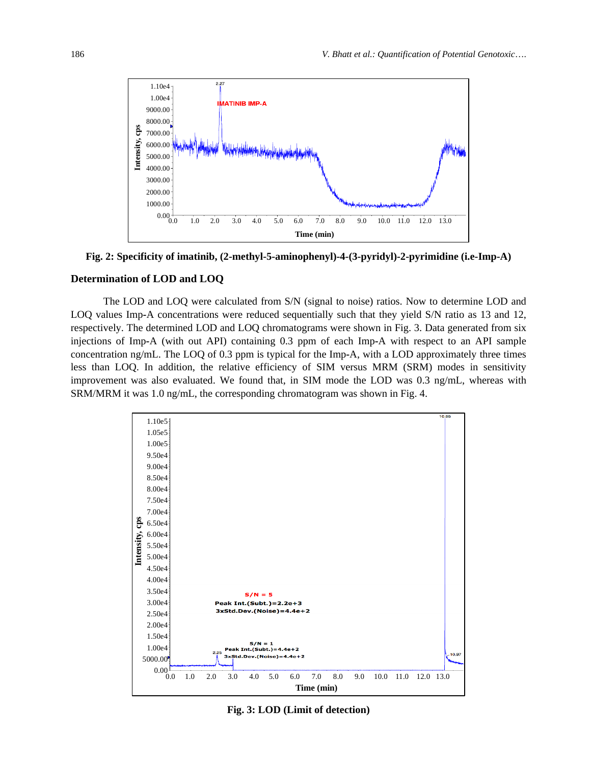

**Fig. 2: Specificity of imatinib, (2-methyl-5-aminophenyl)-4-(3-pyridyl)-2-pyrimidine (i.e-Imp-A)** 

#### **Determination of LOD and LOQ**

The LOD and LOQ were calculated from S/N (signal to noise) ratios. Now to determine LOD and LOQ values Imp**-**A concentrations were reduced sequentially such that they yield S/N ratio as 13 and 12, respectively. The determined LOD and LOQ chromatograms were shown in Fig. 3. Data generated from six injections of Imp**-**A (with out API) containing 0.3 ppm of each Imp**-**A with respect to an API sample concentration ng/mL. The LOQ of 0.3 ppm is typical for the Imp**-**A, with a LOD approximately three times less than LOQ. In addition, the relative efficiency of SIM versus MRM (SRM) modes in sensitivity improvement was also evaluated. We found that, in SIM mode the LOD was 0.3 ng/mL, whereas with SRM/MRM it was 1.0 ng/mL, the corresponding chromatogram was shown in Fig. 4.



**Fig. 3: LOD (Limit of detection)**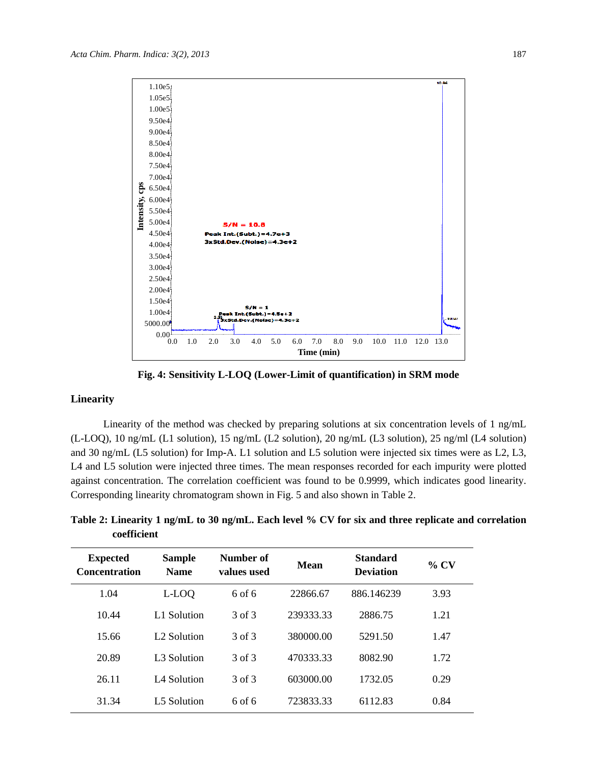

**Fig. 4: Sensitivity L-LOQ (Lower-Limit of quantification) in SRM mode** 

## **Linearity**

Linearity of the method was checked by preparing solutions at six concentration levels of 1 ng/mL (L-LOQ), 10 ng/mL (L1 solution), 15 ng/mL (L2 solution), 20 ng/mL (L3 solution), 25 ng/ml (L4 solution) and 30 ng/mL (L5 solution) for Imp**-**A. L1 solution and L5 solution were injected six times were as L2, L3, L4 and L5 solution were injected three times. The mean responses recorded for each impurity were plotted against concentration. The correlation coefficient was found to be 0.9999, which indicates good linearity. Corresponding linearity chromatogram shown in Fig. 5 and also shown in Table 2.

**Table 2: Linearity 1 ng/mL to 30 ng/mL. Each level % CV for six and three replicate and correlation coefficient**

| <b>Expected</b><br><b>Concentration</b> | <b>Sample</b><br><b>Name</b> | Number of<br>values used | Mean      | <b>Standard</b><br><b>Deviation</b> | $\%$ CV |
|-----------------------------------------|------------------------------|--------------------------|-----------|-------------------------------------|---------|
| 1.04                                    | L-LOQ                        | $6$ of $6$               | 22866.67  | 886.146239                          | 3.93    |
| 10.44                                   | L1 Solution                  | 3 of 3                   | 239333.33 | 2886.75                             | 1.21    |
| 15.66                                   | L <sub>2</sub> Solution      | 3 of 3                   | 380000.00 | 5291.50                             | 1.47    |
| 20.89                                   | L <sub>3</sub> Solution      | 3 of 3                   | 470333.33 | 8082.90                             | 1.72    |
| 26.11                                   | L <sub>4</sub> Solution      | 3 of 3                   | 603000.00 | 1732.05                             | 0.29    |
| 31.34                                   | L5 Solution                  | $6$ of $6$               | 723833.33 | 6112.83                             | 0.84    |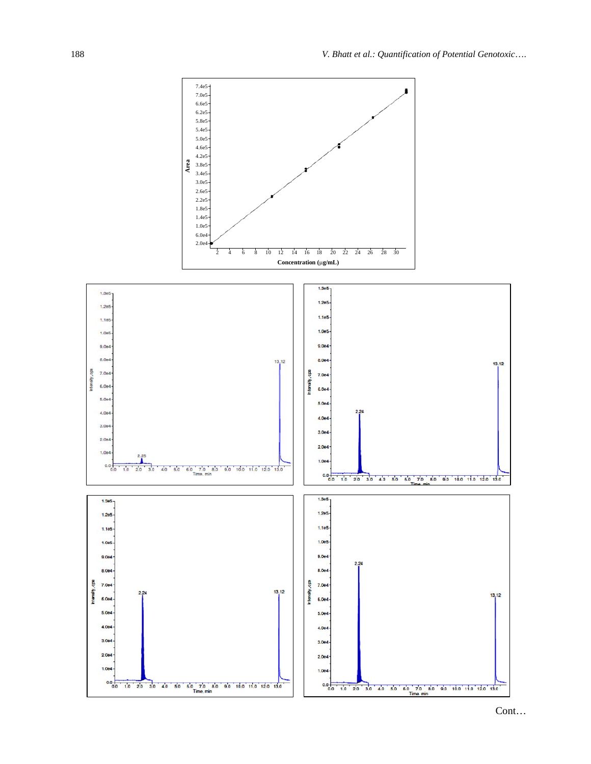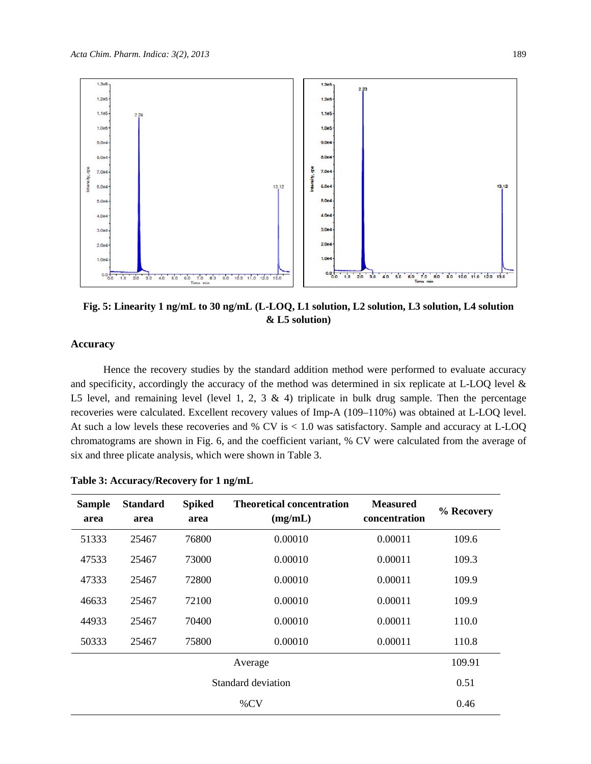

**Fig. 5: Linearity 1 ng/mL to 30 ng/mL (L-LOQ, L1 solution, L2 solution, L3 solution, L4 solution & L5 solution)** 

## **Accuracy**

Hence the recovery studies by the standard addition method were performed to evaluate accuracy and specificity, accordingly the accuracy of the method was determined in six replicate at L-LOQ level & L5 level, and remaining level (level 1, 2, 3  $\&$  4) triplicate in bulk drug sample. Then the percentage recoveries were calculated. Excellent recovery values of Imp**-**A (109–110%) was obtained at L-LOQ level. At such a low levels these recoveries and % CV is < 1.0 was satisfactory. Sample and accuracy at L-LOQ chromatograms are shown in Fig. 6, and the coefficient variant, % CV were calculated from the average of six and three plicate analysis, which were shown in Table 3.

| <b>Sample</b><br>area | <b>Standard</b><br>area | <b>Spiked</b><br>area | <b>Theoretical concentration</b><br>(mg/mL) | <b>Measured</b><br>concentration | % Recovery |
|-----------------------|-------------------------|-----------------------|---------------------------------------------|----------------------------------|------------|
| 51333                 | 25467                   | 76800                 | 0.00010                                     | 0.00011                          | 109.6      |
| 47533                 | 25467                   | 73000                 | 0.00010                                     | 0.00011                          | 109.3      |
| 47333                 | 25467                   | 72800                 | 0.00010                                     | 0.00011                          | 109.9      |
| 46633                 | 25467                   | 72100                 | 0.00010                                     | 0.00011                          | 109.9      |
| 44933                 | 25467                   | 70400                 | 0.00010                                     | 0.00011                          | 110.0      |
| 50333                 | 25467                   | 75800                 | 0.00010                                     | 0.00011                          | 110.8      |
| Average               |                         |                       |                                             |                                  | 109.91     |
| Standard deviation    |                         |                       |                                             |                                  | 0.51       |
| $\%$ CV               |                         |                       |                                             |                                  | 0.46       |

|  | Table 3: Accuracy/Recovery for 1 ng/mL |  |
|--|----------------------------------------|--|
|  |                                        |  |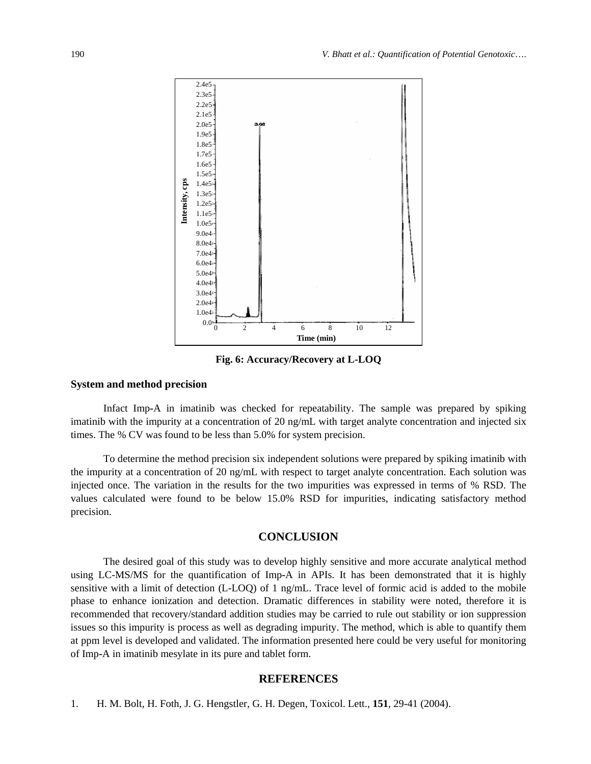

**Fig. 6: Accuracy/Recovery at L-LOQ** 

#### **System and method precision**

Infact Imp**-**A in imatinib was checked for repeatability. The sample was prepared by spiking imatinib with the impurity at a concentration of 20 ng/mL with target analyte concentration and injected six times. The % CV was found to be less than 5.0% for system precision.

To determine the method precision six independent solutions were prepared by spiking imatinib with the impurity at a concentration of 20 ng/mL with respect to target analyte concentration. Each solution was injected once. The variation in the results for the two impurities was expressed in terms of % RSD. The values calculated were found to be below 15.0% RSD for impurities, indicating satisfactory method precision.

## **CONCLUSION**

The desired goal of this study was to develop highly sensitive and more accurate analytical method using LC-MS/MS for the quantification of Imp**-**A in APIs. It has been demonstrated that it is highly sensitive with a limit of detection (L-LOQ) of 1 ng/mL. Trace level of formic acid is added to the mobile phase to enhance ionization and detection. Dramatic differences in stability were noted, therefore it is recommended that recovery/standard addition studies may be carried to rule out stability or ion suppression issues so this impurity is process as well as degrading impurity. The method, which is able to quantify them at ppm level is developed and validated. The information presented here could be very useful for monitoring of Imp**-**A in imatinib mesylate in its pure and tablet form.

## **REFERENCES**

1. H. M. Bolt, H. Foth, J. G. Hengstler, G. H. Degen, Toxicol. Lett., **151**, 29-41 (2004).